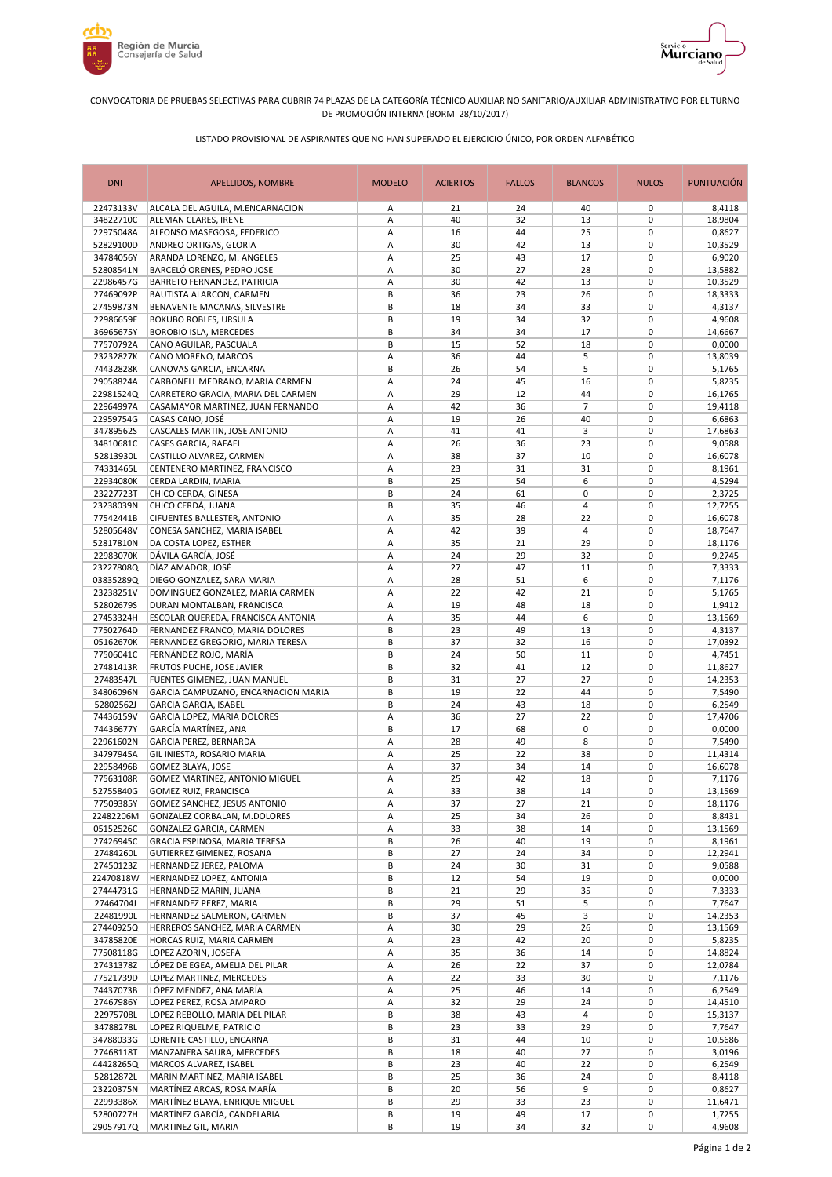



## CONVOCATORIA DE PRUEBAS SELECTIVAS PARA CUBRIR 74 PLAZAS DE LA CATEGORÍA TÉCNICO AUXILIAR NO SANITARIO/AUXILIAR ADMINISTRATIVO POR EL TURNO DE PROMOCIÓN INTERNA (BORM 28/10/2017)

## LISTADO PROVISIONAL DE ASPIRANTES QUE NO HAN SUPERADO EL EJERCICIO ÚNICO, POR ORDEN ALFABÉTICO

| <b>DNI</b>             | APELLIDOS, NOMBRE                                                   | <b>MODELO</b> | <b>ACIERTOS</b> | <b>FALLOS</b> | <b>BLANCOS</b> | <b>NULOS</b>               | <b>PUNTUACIÓN</b> |
|------------------------|---------------------------------------------------------------------|---------------|-----------------|---------------|----------------|----------------------------|-------------------|
| 22473133V              | ALCALA DEL AGUILA, M.ENCARNACION                                    | Α             | 21              | 24            | 40             | 0                          | 8,4118            |
| 34822710C              | ALEMAN CLARES, IRENE                                                | А             | 40              | 32            | 13             | $\mathbf 0$                | 18,9804           |
| 22975048A              | ALFONSO MASEGOSA, FEDERICO                                          | А             | 16              | 44            | 25             | $\mathbf 0$                | 0,8627            |
| 52829100D              | ANDREO ORTIGAS, GLORIA                                              | Α             | 30              | 42            | 13             | $\mathbf 0$                | 10,3529           |
| 34784056Y              | ARANDA LORENZO, M. ANGELES                                          | А             | 25              | 43            | 17             | $\mathbf 0$                | 6,9020            |
| 52808541N              | BARCELÓ ORENES, PEDRO JOSE                                          | А             | 30              | 27            | 28             | $\mathbf 0$                | 13,5882           |
| 22986457G              | BARRETO FERNANDEZ, PATRICIA                                         | А             | 30              | 42            | 13             | $\mathbf 0$                | 10,3529           |
| 27469092P              | BAUTISTA ALARCON, CARMEN                                            | B             | 36              | 23            | 26             | $\mathbf 0$                | 18,3333           |
| 27459873N<br>22986659E | BENAVENTE MACANAS, SILVESTRE<br><b>BOKUBO ROBLES, URSULA</b>        | B<br>B        | 18<br>19        | 34<br>34      | 33<br>32       | $\mathbf 0$<br>$\mathbf 0$ | 4,3137            |
| 36965675Y              | <b>BOROBIO ISLA, MERCEDES</b>                                       | B             | 34              | 34            | 17             | $\mathbf 0$                | 4,9608<br>14,6667 |
| 77570792A              | CANO AGUILAR, PASCUALA                                              | B             | 15              | 52            | 18             | $\pmb{0}$                  | 0,0000            |
| 23232827K              | CANO MORENO, MARCOS                                                 | А             | 36              | 44            | 5              | $\mathbf 0$                | 13,8039           |
| 74432828K              | CANOVAS GARCIA, ENCARNA                                             | B             | 26              | 54            | 5              | $\mathbf 0$                | 5,1765            |
| 29058824A              | CARBONELL MEDRANO, MARIA CARMEN                                     | А             | 24              | 45            | 16             | $\mathbf 0$                | 5,8235            |
| 22981524Q              | CARRETERO GRACIA, MARIA DEL CARMEN                                  | А             | 29              | 12            | 44             | $\pmb{0}$                  | 16,1765           |
| 22964997A              | CASAMAYOR MARTINEZ, JUAN FERNANDO                                   | А             | 42              | 36            | $\overline{7}$ | $\mathbf 0$                | 19,4118           |
| 22959754G              | CASAS CANO, JOSÉ                                                    | А             | 19              | 26            | 40             | 0                          | 6,6863            |
| 34789562S              | CASCALES MARTIN, JOSE ANTONIO                                       | А             | 41              | 41            | 3              | 0                          | 17,6863           |
| 34810681C              | <b>CASES GARCIA, RAFAEL</b>                                         | А             | 26              | 36            | 23             | 0                          | 9,0588            |
| 52813930L              | CASTILLO ALVAREZ, CARMEN                                            | Α             | 38              | 37            | 10             | $\mathbf 0$                | 16,6078           |
| 74331465L              | CENTENERO MARTINEZ, FRANCISCO                                       | Α             | 23              | 31            | 31             | $\mathbf 0$                | 8,1961            |
| 22934080K              | CERDA LARDIN, MARIA                                                 | B             | 25              | 54            | 6              | $\mathbf 0$                | 4,5294            |
| 23227723T              | CHICO CERDA, GINESA                                                 | B             | 24              | 61            | 0              | $\mathbf 0$                | 2,3725            |
| 23238039N              | CHICO CERDÁ, JUANA                                                  | B             | 35              | 46            | $\overline{4}$ | $\mathbf 0$                | 12,7255           |
| 77542441B              | CIFUENTES BALLESTER, ANTONIO                                        | А             | 35              | 28            | 22             | $\mathbf 0$                | 16,6078           |
| 52805648V              | CONESA SANCHEZ, MARIA ISABEL                                        | Α             | 42              | 39            | 4              | $\mathbf 0$                | 18,7647           |
| 52817810N              | DA COSTA LOPEZ, ESTHER                                              | Α             | 35              | 21            | 29             | $\mathbf 0$                | 18,1176           |
| 22983070K              | DÁVILA GARCÍA, JOSÉ                                                 | Α             | 24              | 29            | 32             | $\mathbf 0$                | 9,2745            |
| 23227808Q              | DÍAZ AMADOR, JOSÉ                                                   | Α             | 27              | 47            | 11             | $\mathbf 0$                | 7,3333            |
| 03835289Q              | DIEGO GONZALEZ, SARA MARIA                                          | А             | 28              | 51            | 6              | $\mathbf 0$                | 7,1176            |
| 23238251V              | DOMINGUEZ GONZALEZ, MARIA CARMEN                                    | А             | 22              | 42            | 21             | $\mathbf 0$                | 5,1765            |
| 52802679S              | DURAN MONTALBAN, FRANCISCA                                          | А             | 19              | 48            | 18             | $\mathbf 0$                | 1,9412            |
| 27453324H              | ESCOLAR QUEREDA, FRANCISCA ANTONIA                                  | А<br>B        | 35              | 44            | 6              | $\mathbf 0$<br>$\mathbf 0$ | 13,1569           |
| 77502764D<br>05162670K | FERNANDEZ FRANCO, MARIA DOLORES<br>FERNANDEZ GREGORIO, MARIA TERESA | B             | 23<br>37        | 49<br>32      | 13<br>16       | $\mathbf 0$                | 4,3137<br>17,0392 |
| 77506041C              | FERNÁNDEZ ROJO, MARÍA                                               | B             | 24              | 50            | 11             | 0                          | 4,7451            |
| 27481413R              | FRUTOS PUCHE, JOSE JAVIER                                           | B             | 32              | 41            | 12             | $\mathbf 0$                | 11,8627           |
| 27483547L              | FUENTES GIMENEZ, JUAN MANUEL                                        | B             | 31              | 27            | 27             | $\pmb{0}$                  | 14,2353           |
| 34806096N              | GARCIA CAMPUZANO, ENCARNACION MARIA                                 | B             | 19              | 22            | 44             | $\mathbf 0$                | 7,5490            |
| 52802562J              | <b>GARCIA GARCIA, ISABEL</b>                                        | B             | 24              | 43            | 18             | 0                          | 6,2549            |
| 74436159V              | GARCIA LOPEZ, MARIA DOLORES                                         | А             | 36              | 27            | 22             | $\mathbf 0$                | 17,4706           |
| 74436677Y              | GARCÍA MARTÍNEZ, ANA                                                | В             | 17              | 68            | 0              | 0                          | 0,0000            |
| 22961602N              | GARCIA PEREZ, BERNARDA                                              | А             | 28              | 49            | 8              | 0                          | 7,5490            |
| 34797945A              | GIL INIESTA, ROSARIO MARIA                                          | А             | 25              | 22            | 38             | 0                          | 11,4314           |
| 22958496B              | GOMEZ BLAYA, JOSE                                                   | А             | 37              | 34            | 14             | 0                          | 16,6078           |
| 77563108R              | GOMEZ MARTINEZ, ANTONIO MIGUEL                                      | А             | 25              | 42            | 18             | $\mathbf 0$                | 7,1176            |
| 52755840G              | GOMEZ RUIZ, FRANCISCA                                               | Α             | 33              | 38            | 14             | 0                          | 13,1569           |
| 77509385Y              | GOMEZ SANCHEZ, JESUS ANTONIO                                        | Α             | 37              | 27            | 21             | 0                          | 18,1176           |
| 22482206M              | GONZALEZ CORBALAN, M.DOLORES                                        | А             | 25              | 34            | 26             | 0                          | 8,8431            |
| 05152526C              | GONZALEZ GARCIA, CARMEN                                             | Α             | 33              | 38            | 14             | 0                          | 13,1569           |
| 27426945C              | GRACIA ESPINOSA, MARIA TERESA                                       | В             | 26              | 40            | 19             | 0                          | 8,1961            |
| 27484260L              | GUTIERREZ GIMENEZ, ROSANA<br>HERNANDEZ JEREZ, PALOMA                | В             | 27              | 24            | 34             | 0                          | 12,2941           |
| 27450123Z<br>22470818W | HERNANDEZ LOPEZ, ANTONIA                                            | В<br>B        | 24<br>12        | 30<br>54      | 31<br>19       | 0<br>0                     | 9,0588<br>0,0000  |
| 27444731G              | HERNANDEZ MARIN, JUANA                                              | В             | 21              | 29            | 35             | 0                          | 7,3333            |
| 27464704J              | HERNANDEZ PEREZ, MARIA                                              | B             | 29              | 51            | 5              | 0                          | 7,7647            |
| 22481990L              | HERNANDEZ SALMERON, CARMEN                                          | B             | 37              | 45            | 3              | 0                          | 14,2353           |
| 27440925Q              | HERREROS SANCHEZ, MARIA CARMEN                                      | А             | 30              | 29            | 26             | 0                          | 13,1569           |
| 34785820E              | HORCAS RUIZ, MARIA CARMEN                                           | А             | 23              | 42            | 20             | $\pmb{0}$                  | 5,8235            |
| 77508118G              | LOPEZ AZORIN, JOSEFA                                                | А             | 35              | 36            | 14             | 0                          | 14,8824           |
| 27431378Z              | LÓPEZ DE EGEA, AMELIA DEL PILAR                                     | А             | 26              | 22            | 37             | $\pmb{0}$                  | 12,0784           |
| 77521739D              | LOPEZ MARTINEZ, MERCEDES                                            | А             | 22              | 33            | 30             | 0                          | 7,1176            |
| 74437073B              | LÓPEZ MENDEZ, ANA MARÍA                                             | Α             | 25              | 46            | 14             | 0                          | 6,2549            |
| 27467986Y              | LOPEZ PEREZ, ROSA AMPARO                                            | А             | 32              | 29            | 24             | 0                          | 14,4510           |
| 22975708L              | LOPEZ REBOLLO, MARIA DEL PILAR                                      | В             | 38              | 43            | 4              | 0                          | 15,3137           |
| 34788278L              | LOPEZ RIQUELME, PATRICIO                                            | В             | 23              | 33            | 29             | 0                          | 7,7647            |
| 34788033G              | LORENTE CASTILLO, ENCARNA                                           | В             | 31              | 44            | 10             | 0                          | 10,5686           |
| 27468118T              | MANZANERA SAURA, MERCEDES                                           | В             | 18              | 40            | 27             | 0                          | 3,0196            |
| 44428265Q              | MARCOS ALVAREZ, ISABEL                                              | В             | 23              | 40            | 22             | 0                          | 6,2549            |
| 52812872L              | MARIN MARTINEZ, MARIA ISABEL                                        | В             | 25              | 36            | 24             | 0                          | 8,4118            |
| 23220375N              | MARTÍNEZ ARCAS, ROSA MARÍA                                          | В             | 20              | 56            | 9              | 0                          | 0,8627            |
| 22993386X              | MARTÍNEZ BLAYA, ENRIQUE MIGUEL<br>MARTÍNEZ GARCÍA, CANDELARIA       | В             | 29              | 33            | 23             | 0                          | 11,6471           |
| 52800727H<br>29057917Q | MARTINEZ GIL, MARIA                                                 | В<br>В        | 19<br>19        | 49<br>34      | 17<br>32       | 0<br>0                     | 1,7255<br>4,9608  |
|                        |                                                                     |               |                 |               |                |                            |                   |